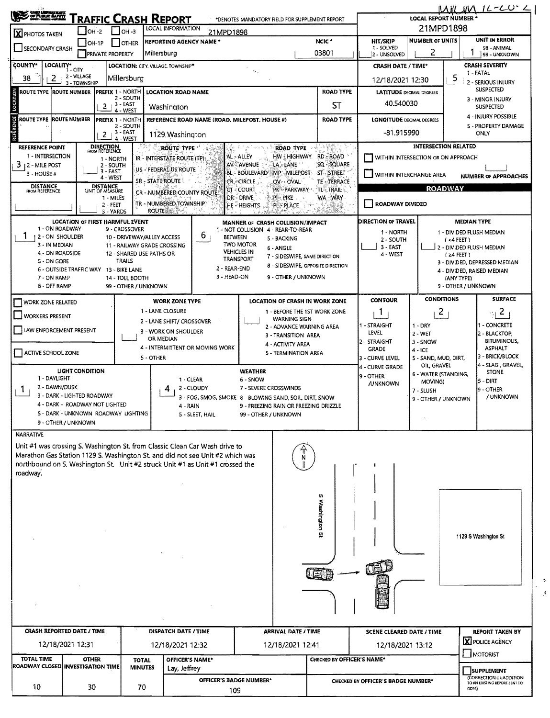| <b>CHOLORAILEST<br/>/ Of Public Bayety</b><br>/ Mary House House                                                                               |                                        |                                    |                                         |                                                |                                                                               |                                        |                                                                        |                            |                                                        | <b>LOCAL REPORT NUMBER</b>             |                                                          | $MM$ JM $12 - CO$ $\sim$             |  |  |  |
|------------------------------------------------------------------------------------------------------------------------------------------------|----------------------------------------|------------------------------------|-----------------------------------------|------------------------------------------------|-------------------------------------------------------------------------------|----------------------------------------|------------------------------------------------------------------------|----------------------------|--------------------------------------------------------|----------------------------------------|----------------------------------------------------------|--------------------------------------|--|--|--|
| RAFFIC CRASH REPORT<br>*DENOTES MANDATORY FIELD FOR SUPPLEMENT REPORT<br><b>LOCAL INFORMATION</b><br>$I$ OH-2<br>$IOH - 3$<br>21MPD1898        |                                        |                                    |                                         |                                                |                                                                               |                                        |                                                                        |                            |                                                        | 21MPD1898                              |                                                          |                                      |  |  |  |
| X PHOTOS TAKEN<br>NCIC <sup>+</sup><br><b>REPORTING AGENCY NAME *</b><br>IOH-1P<br><b>OTHER</b>                                                |                                        |                                    |                                         |                                                |                                                                               |                                        |                                                                        |                            | HIT/SKIP                                               | UNIT IN ERROR                          |                                                          |                                      |  |  |  |
| SECONDARY CRASH<br>03801<br>Millersburg<br><b>PRIVATE PROPERTY</b>                                                                             |                                        |                                    |                                         |                                                |                                                                               |                                        |                                                                        |                            | 1 - SOLVED<br>2 - UNSOLVED                             | 98 - ANIMAL<br>99 - UNKNOWN            |                                                          |                                      |  |  |  |
| COUNTY*<br>LOCALITY*<br>LOCATION: CITY. VILLAGE. TOWNSHIP*<br>1 - CITY                                                                         |                                        |                                    |                                         |                                                |                                                                               |                                        |                                                                        |                            | <b>CRASH DATE / TIME*</b>                              | <b>CRASH SEVERITY</b>                  |                                                          |                                      |  |  |  |
| 38<br>2                                                                                                                                        | 2 - VILLAGE<br>3 - TOWNSHIP            |                                    | Millersburg                             |                                                |                                                                               |                                        |                                                                        |                            | 12/18/2021 12:30                                       |                                        | 5                                                        | 1 - FATAL<br>2 - SERIOUS INJURY      |  |  |  |
| <b>ROUTE TYPE IROUTE NUMBER</b>                                                                                                                |                                        | <b>PREFIX 1 - NORTH</b>            |                                         | <b>LOCATION ROAD NAME</b>                      |                                                                               |                                        | <b>LATITUDE DECIMAL DEGREES</b>                                        |                            |                                                        | <b>SUSPECTED</b>                       |                                                          |                                      |  |  |  |
| LOCATION<br>2 - SOUTH<br>3 - EAST<br>2                                                                                                         |                                        |                                    |                                         | Washington                                     |                                                                               |                                        |                                                                        | ST                         | 40.540030                                              |                                        |                                                          | 3 - MINOR INJURY<br><b>SUSPECTED</b> |  |  |  |
| ROUTE TYPE  ROUTE NUMBER                                                                                                                       |                                        | <b>PREFIX 1 NORTH</b>              | 4 - WEST                                |                                                | REFERENCE ROAD NAME (ROAD, MILEPOST, HOUSE #)                                 |                                        | <b>LONGITUDE DECIMAL DEGREES</b>                                       |                            |                                                        | 4 - INJURY POSSIBLE                    |                                                          |                                      |  |  |  |
|                                                                                                                                                |                                        |                                    | 2 - SOUTH                               |                                                |                                                                               |                                        |                                                                        | <b>ROAD TYPE</b>           |                                                        |                                        |                                                          | <b>5 - PROPERTY DAMAGE</b>           |  |  |  |
| REFËRENCE<br>3 - EAST<br>1129 Washington<br>2<br>$4 - WEST$                                                                                    |                                        |                                    |                                         |                                                |                                                                               |                                        |                                                                        |                            | -81.915990                                             |                                        |                                                          | ONLY                                 |  |  |  |
| <b>DIRECTION</b><br>FROM REFERENCE<br><b>REFERENCE POINT</b><br>ROUTE TYPE<br>ROAD TYPE<br>1 - INTERSECTION                                    |                                        |                                    |                                         |                                                |                                                                               |                                        |                                                                        |                            | <b>INTERSECTION RELATED</b>                            |                                        |                                                          |                                      |  |  |  |
| HW HIGHWAY RD ROAD<br>AL - ALLEY<br>IR - INTERSTATE ROUTE (TP)<br>1 - NORTH<br>$3 + 2 -$ MILE POST<br>AV - AVENUE<br>LA - LANE<br>2 - SOUTH    |                                        |                                    |                                         |                                                |                                                                               |                                        |                                                                        | SQ - SQUARE                | WITHIN INTERSECTION OR ON APPROACH                     |                                        |                                                          |                                      |  |  |  |
| US - FEDERAL US ROUTE<br>$3 - EAST$<br><b>BL - BOULEVARD</b><br>ST-STREET<br>$MP - MILEPOST +$<br>$3 - HOUSE#$<br>4 - WEST<br><b>CR-CIRCLE</b> |                                        |                                    |                                         |                                                |                                                                               |                                        |                                                                        |                            | WITHIN INTERCHANGE AREA<br><b>NUMBER OF APPROACHES</b> |                                        |                                                          |                                      |  |  |  |
| <b>DISTANCE</b><br>FROM REFERENCE                                                                                                              |                                        | <b>DISTANCE</b><br>UNIT OF MEASURE |                                         | SR - STATE ROUTE<br>CR - NUMBERED COUNTY ROUTE |                                                                               | ©T - COURT                             | OV OVAL<br>PK PARKWAY TL-TRAIL                                         | TE-TERRACE                 | <b>ROADWAY</b>                                         |                                        |                                                          |                                      |  |  |  |
|                                                                                                                                                |                                        | 1 - MILES<br>2 - FEET              |                                         | TR - NUMBERED TOWNSHIP                         |                                                                               | <b>DR-DRIVE</b><br><b>HE-HEIGHTS</b>   | PI - PIKE<br><b>PL-PLACE</b><br>ु खे                                   | WA - WAY                   | <b>ROADWAY DIVIDED</b>                                 |                                        |                                                          |                                      |  |  |  |
|                                                                                                                                                |                                        | 3 - YARDS                          |                                         | ROUTE :                                        |                                                                               |                                        |                                                                        |                            |                                                        |                                        |                                                          |                                      |  |  |  |
| 1 - ON ROADWAY                                                                                                                                 | LOCATION OF FIRST HARMFUL EVENT        |                                    | 9 - CROSSOVER                           |                                                |                                                                               |                                        | MANNER OF CRASH COLLISION/IMPACT<br>1 - NOT COLLISION 4 - REAR-TO-REAR |                            | DIRECTION OF TRAVEL                                    |                                        | <b>MEDIAN TYPE</b>                                       |                                      |  |  |  |
| 12 - ON SHOULDER                                                                                                                               |                                        |                                    |                                         | 10 - DRIVEWAY/ALLEY ACCESS                     | 6<br><b>BETWEEN</b>                                                           |                                        | 5 - BACKING                                                            |                            | 1 - NORTH<br>2 - SOUTH                                 | 1 - DIVIDED FLUSH MEDIAN<br>$(4$ FEET) |                                                          |                                      |  |  |  |
| 3 - IN MEDIAN<br>4 - ON ROADSIDE                                                                                                               |                                        |                                    | 12 - SHARED USE PATHS OR                | 11 - RAILWAY GRADE CROSSING                    |                                                                               | <b>TWO MOTOR</b><br><b>VEHICLES IN</b> | 6 - ANGLE                                                              |                            | 3 - EAST                                               |                                        |                                                          | 2 - DIVIDED FLUSH MEDIAN             |  |  |  |
| 5 - ON GORE                                                                                                                                    |                                        |                                    | <b>TRAILS</b>                           |                                                |                                                                               | <b>TRANSPORT</b>                       | 7 - SIDESWIPE, SAME DIRECTION<br>8 - SIDESWIPE, OPPOSITE DIRECTION     |                            | 4 - WEST                                               |                                        | $1 \geq 4$ FEET)                                         | 3 - DIVIDED, DEPRESSED MEDIAN        |  |  |  |
|                                                                                                                                                | 6 - OUTSIDE TRAFFIC WAY 13 - BIKE LANE |                                    |                                         |                                                | 2 - REAR-END<br>3 - HEAD-ON                                                   |                                        | 9 - OTHER / UNKNOWN                                                    |                            |                                                        |                                        |                                                          | 4 - DIVIDED, RAISED MEDIAN           |  |  |  |
| 7 - ON RAMP<br>8 - OFF RAMP                                                                                                                    |                                        |                                    | 14 - TOLL BOOTH<br>99 - OTHER / UNKNOWN |                                                |                                                                               |                                        |                                                                        |                            |                                                        |                                        | (ANY TYPE)<br>9 - OTHER / UNKNOWN                        |                                      |  |  |  |
| <b>WORK ZONE RELATED</b>                                                                                                                       |                                        |                                    |                                         | <b>WORK ZONE TYPE</b>                          |                                                                               |                                        | <b>LOCATION OF CRASH IN WORK ZONE</b>                                  |                            | <b>CONTOUR</b>                                         | <b>CONDITIONS</b>                      |                                                          | <b>SURFACE</b>                       |  |  |  |
|                                                                                                                                                |                                        |                                    |                                         | 1 - LANE CLOSURE                               |                                                                               |                                        | 1 - BEFORE THE 1ST WORK ZONE                                           |                            | 1                                                      | $\overline{c}$                         |                                                          | $\mathbf{2}$<br>의                    |  |  |  |
| WORKERS PRESENT                                                                                                                                |                                        |                                    |                                         | 2 - LANE SHIFT/ CROSSOVER                      |                                                                               |                                        | <b>WARNING SIGN</b><br>2 - ADVANCE WARNING AREA                        | 1 - STRAIGHT               | $1 - DRY$                                              |                                        | 1 - CONCRETE                                             |                                      |  |  |  |
| LAW ENFORCEMENT PRESENT                                                                                                                        |                                        |                                    |                                         | 3 - WORK ON SHOULDER                           |                                                                               |                                        | 3 - TRANSITION AREA                                                    |                            | LEVEL                                                  | 2 - WET                                |                                                          | 2 - BLACKTOP,                        |  |  |  |
|                                                                                                                                                |                                        |                                    |                                         | OR MEDIAN<br>4 - INTERMITTENT OR MOVING WORK   |                                                                               |                                        | 4 - ACTIVITY AREA                                                      |                            | 2 - STRAIGHT<br>GRADE                                  | 3 - SNOW                               |                                                          | <b>BITUMINOUS,</b><br><b>ASPHALT</b> |  |  |  |
| ACTIVE SCHOOL ZONE                                                                                                                             |                                        |                                    |                                         | 5 - OTHER                                      | 5 - TERMINATION AREA                                                          |                                        |                                                                        |                            |                                                        | $4 - ICE$<br>5 - SAND, MUD, DIRT,      |                                                          | 3 - BRICK/BLOCK                      |  |  |  |
|                                                                                                                                                | <b>LIGHT CONDITION</b>                 |                                    |                                         |                                                |                                                                               | <b>WEATHER</b>                         |                                                                        |                            | 4 - CURVE GRADE                                        | OIL, GRAVEL                            |                                                          | 4 - SLAG, GRAVEL<br><b>STONE</b>     |  |  |  |
| 1 - DAYLIGHT<br>1 - CLEAR<br>6 - SNOW                                                                                                          |                                        |                                    |                                         |                                                |                                                                               |                                        |                                                                        |                            | 9 - OTHER<br><b>JUNKNOWN</b>                           | 6 - WATER (STANDING,<br>MOVING)        |                                                          | 15 - DIRT                            |  |  |  |
| 2 - DAWN/DUSK<br>2 - CLOUDY<br>4<br>1<br>3 - DARK - LIGHTED ROADWAY                                                                            |                                        |                                    |                                         |                                                |                                                                               |                                        | 7 - SEVERE CROSSWINDS                                                  |                            |                                                        | 7 - SLUSH                              |                                                          | 9 - OTHER<br>/ UNKNOWN               |  |  |  |
| 3 - FOG, SMOG, SMOKE 8 - BLOWING SAND, SOIL, DIRT, SNOW<br>4 - DARK - ROADWAY NOT LIGHTED<br>9 - FREEZING RAIN OR FREEZING DRIZZLE<br>4 - RAIN |                                        |                                    |                                         |                                                |                                                                               |                                        |                                                                        |                            |                                                        | 9 - OTHER / UNKNOWN                    |                                                          |                                      |  |  |  |
|                                                                                                                                                | 5 - DARK - UNKNOWN ROADWAY LIGHTING    |                                    |                                         |                                                | 5 - SLEET, HAIL                                                               | 99 - OTHER / UNKNOWN                   |                                                                        |                            |                                                        |                                        |                                                          |                                      |  |  |  |
| <b>NARRATIVE</b>                                                                                                                               | 9 - OTHER / UNKNOWN                    |                                    |                                         |                                                |                                                                               |                                        |                                                                        |                            |                                                        |                                        |                                                          |                                      |  |  |  |
| Unit #1 was crossing S. Washington St. from Classic Clean Car Wash drive to                                                                    |                                        |                                    |                                         |                                                |                                                                               |                                        |                                                                        |                            |                                                        |                                        |                                                          |                                      |  |  |  |
| Marathon Gas Station 1129 S. Washington St. and did not see Unit #2 which was                                                                  |                                        |                                    |                                         |                                                |                                                                               |                                        |                                                                        |                            |                                                        |                                        |                                                          |                                      |  |  |  |
|                                                                                                                                                |                                        |                                    |                                         |                                                | northbound on S. Washington St. Unit #2 struck Unit #1 as Unit #1 crossed the |                                        |                                                                        |                            |                                                        |                                        |                                                          |                                      |  |  |  |
| roadway.                                                                                                                                       |                                        |                                    |                                         |                                                |                                                                               |                                        |                                                                        |                            |                                                        |                                        |                                                          |                                      |  |  |  |
|                                                                                                                                                |                                        |                                    |                                         |                                                |                                                                               |                                        |                                                                        |                            |                                                        |                                        |                                                          |                                      |  |  |  |
|                                                                                                                                                |                                        |                                    |                                         |                                                |                                                                               |                                        |                                                                        |                            |                                                        |                                        |                                                          |                                      |  |  |  |
|                                                                                                                                                |                                        |                                    |                                         |                                                |                                                                               |                                        |                                                                        | Washington SI              |                                                        |                                        |                                                          |                                      |  |  |  |
|                                                                                                                                                |                                        |                                    |                                         |                                                |                                                                               |                                        |                                                                        |                            |                                                        |                                        |                                                          |                                      |  |  |  |
|                                                                                                                                                |                                        |                                    |                                         |                                                |                                                                               |                                        |                                                                        |                            |                                                        |                                        |                                                          | 1129 S Washington St                 |  |  |  |
|                                                                                                                                                |                                        |                                    |                                         |                                                |                                                                               |                                        |                                                                        |                            |                                                        |                                        |                                                          |                                      |  |  |  |
|                                                                                                                                                |                                        |                                    |                                         |                                                |                                                                               |                                        |                                                                        |                            |                                                        |                                        |                                                          |                                      |  |  |  |
|                                                                                                                                                |                                        |                                    |                                         |                                                |                                                                               |                                        |                                                                        |                            |                                                        |                                        |                                                          |                                      |  |  |  |
|                                                                                                                                                |                                        |                                    |                                         |                                                |                                                                               |                                        |                                                                        |                            |                                                        |                                        |                                                          |                                      |  |  |  |
|                                                                                                                                                |                                        |                                    |                                         |                                                |                                                                               |                                        |                                                                        |                            |                                                        |                                        |                                                          |                                      |  |  |  |
|                                                                                                                                                |                                        |                                    |                                         |                                                |                                                                               |                                        |                                                                        |                            |                                                        |                                        |                                                          |                                      |  |  |  |
|                                                                                                                                                |                                        |                                    |                                         |                                                |                                                                               |                                        |                                                                        |                            |                                                        |                                        |                                                          |                                      |  |  |  |
| <b>CRASH REPORTED DATE / TIME</b><br>DISPATCH DATE / TIME                                                                                      |                                        |                                    |                                         |                                                |                                                                               |                                        | <b>ARRIVAL DATE / TIME</b>                                             |                            | <b>SCENE CLEARED DATE / TIME</b>                       |                                        |                                                          | <b>REPORT TAKEN BY</b>               |  |  |  |
|                                                                                                                                                | 12/18/2021 12:31                       |                                    |                                         | 12/18/2021 12:32                               |                                                                               |                                        | 12/18/2021 12:41                                                       |                            | 12/18/2021 13:12                                       |                                        |                                                          | X POLICE AGENCY                      |  |  |  |
| <b>TOTAL TIME</b>                                                                                                                              | <b>OTHER</b>                           |                                    | <b>TOTAL</b>                            | OFFICER'S NAME*                                |                                                                               |                                        |                                                                        | CHECKED BY OFFICER'S NAME* |                                                        |                                        |                                                          | MOTORIST                             |  |  |  |
| ROADWAY CLOSED INVESTIGATION TIME<br><b>MINUTES</b><br>Lay, Jeffrey                                                                            |                                        |                                    |                                         |                                                |                                                                               |                                        |                                                                        |                            |                                                        |                                        |                                                          | <b>SUPPLEMENT</b>                    |  |  |  |
| 10                                                                                                                                             |                                        |                                    |                                         |                                                | <b>OFFICER'S BADGE NUMBER*</b>                                                |                                        |                                                                        |                            | CHECKED BY OFFICER'S BADGE NUMBER*                     |                                        | (CORRECTION OR ADDITION<br>TO AN EXISTING REPORT SENT TO |                                      |  |  |  |
| 30<br>70<br>109                                                                                                                                |                                        |                                    |                                         |                                                |                                                                               |                                        |                                                                        |                            |                                                        | ODPS)                                  |                                                          |                                      |  |  |  |

 $\frac{1}{3}$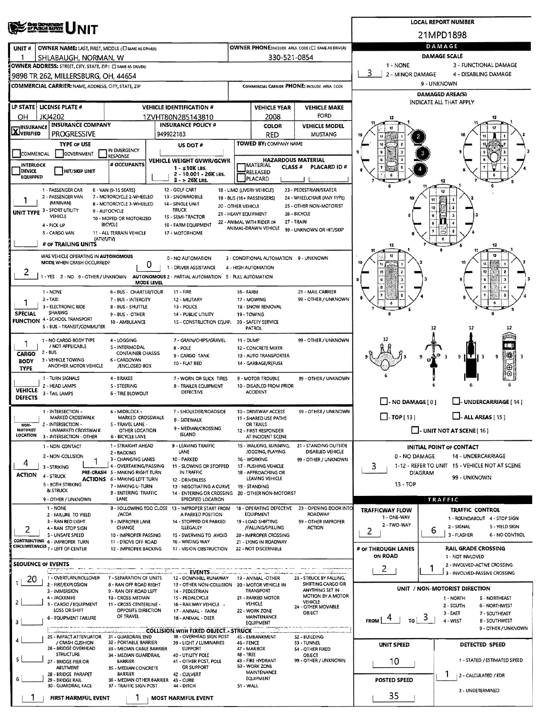| <b>CHIO DEPARTMENT</b><br>OF PUBLIC MAPETE                                                                                                           |                                                                        | <b>LOCAL REPORT NUMBER</b>                                                                             |                                                 |                                                                                                   |                                                                                                                                          |                                                         |                                                              |  |  |  |  |  |
|------------------------------------------------------------------------------------------------------------------------------------------------------|------------------------------------------------------------------------|--------------------------------------------------------------------------------------------------------|-------------------------------------------------|---------------------------------------------------------------------------------------------------|------------------------------------------------------------------------------------------------------------------------------------------|---------------------------------------------------------|--------------------------------------------------------------|--|--|--|--|--|
|                                                                                                                                                      |                                                                        | 21MPD1898                                                                                              |                                                 |                                                                                                   |                                                                                                                                          |                                                         |                                                              |  |  |  |  |  |
| UNIT#                                                                                                                                                | OWNER NAME: LAST, FIRST, MIDDLE (CI SAME AS DRIVER)                    | OWNER PHONE:INCLUDE AREA CODE (E) SAME AS DRIVER)                                                      | DAMAGE                                          |                                                                                                   |                                                                                                                                          |                                                         |                                                              |  |  |  |  |  |
|                                                                                                                                                      | SHLABAUGH, NORMAN, W                                                   |                                                                                                        | 330-521-0854                                    | <b>DAMAGE SCALE</b>                                                                               |                                                                                                                                          |                                                         |                                                              |  |  |  |  |  |
| OWNER ADDRESS: STREET, CITY, STATE, ZIP ( C) SAME AS DRIVER)                                                                                         |                                                                        |                                                                                                        |                                                 | 1 NONE<br>3 - FUNCTIONAL DAMAGE<br>3                                                              |                                                                                                                                          |                                                         |                                                              |  |  |  |  |  |
| 9898 TR 262, MILLERSBURG, OH, 44654                                                                                                                  |                                                                        |                                                                                                        |                                                 |                                                                                                   |                                                                                                                                          | 2 - MINOR DAMAGE<br>4 - DISABLING DAMAGE                |                                                              |  |  |  |  |  |
| <b>COMMERCIAL CARRIER: NAME, ADDRESS, CITY, STATE, ZIP</b>                                                                                           |                                                                        |                                                                                                        |                                                 |                                                                                                   | COMMERCIAL CARRIER PHONE: INCLUDE AREA CODE                                                                                              | 9 - UNKNOWN<br>DAMAGED AREA(S)                          |                                                              |  |  |  |  |  |
|                                                                                                                                                      |                                                                        |                                                                                                        |                                                 |                                                                                                   |                                                                                                                                          |                                                         | INDICATE ALL THAT APPLY                                      |  |  |  |  |  |
| LP STATE   LICENSE PLATE #                                                                                                                           |                                                                        | <b>VEHICLE IDENTIFICATION #</b>                                                                        |                                                 | <b>VEHICLE YEAR</b>                                                                               | <b>VEHICLE MAKE</b><br>FORD                                                                                                              |                                                         |                                                              |  |  |  |  |  |
| <b>JKJ4202</b><br>OН<br><b>INSURANCE</b>                                                                                                             | <b>INSURANCE COMPANY</b>                                               | 1ZVHT80N285143810<br><b>INSURANCE POLICY #</b>                                                         |                                                 | 2008<br><b>COLOR</b>                                                                              | <b>VEHICLE MODEL</b>                                                                                                                     | 12                                                      |                                                              |  |  |  |  |  |
| <b>X</b> VERIFIED<br><b>PROGRESSIVE</b>                                                                                                              |                                                                        | 949922183                                                                                              |                                                 | <b>RED</b>                                                                                        | <b>MUSTANG</b>                                                                                                                           |                                                         |                                                              |  |  |  |  |  |
| <b>TYPE OF USE</b>                                                                                                                                   | IN EMERGENCY                                                           | US DOT#                                                                                                |                                                 | <b>TOWED BY: COMPANY NAME</b>                                                                     |                                                                                                                                          |                                                         |                                                              |  |  |  |  |  |
| COMMERCIAL                                                                                                                                           | GOVERNMENT<br>RESPONSE                                                 | <b>VEHICLE WEIGHT GVWR/GCWR</b>                                                                        |                                                 |                                                                                                   | <b>HAZARDOUS MATERIAL</b>                                                                                                                |                                                         |                                                              |  |  |  |  |  |
| INTERLOCK<br><b>DEVICE</b>                                                                                                                           | # OCCUPANTS<br><b>HIT/SKIP UNIT</b>                                    | $1 - s10K$ LBS.                                                                                        |                                                 | <b>IMATERIAL</b><br>CLASS <sup>#</sup><br>RELEASED                                                | <b>PLACARD ID#</b>                                                                                                                       |                                                         |                                                              |  |  |  |  |  |
| <b>EQUIPPED</b>                                                                                                                                      |                                                                        | 2 - 10.001 - 26K LBS.<br>$3 - 26K$ LBS.                                                                |                                                 | PLACARD                                                                                           |                                                                                                                                          | 12                                                      |                                                              |  |  |  |  |  |
| 1 - PASSENGER CAR<br>12 - GOLF CART<br>1B - LIMO (LIVERY VEHICLE)<br>23 - PEDESTRIAN/SKATER<br>6 - VAN (9-15 SEATS)                                  |                                                                        |                                                                                                        |                                                 |                                                                                                   |                                                                                                                                          |                                                         |                                                              |  |  |  |  |  |
| 2 - PASSENGER VAN<br>(MINIVAN)                                                                                                                       | 7 - MOTORCYCLE 2-WHEELED<br>8 - MOTORCYCLE 3-WHEELED                   | 13 - SNOWMOBILE<br>14 - SINGLE UNIT                                                                    | 19 - BUS (16+ PASSENGERS)<br>20 - OTHER VEHICLE |                                                                                                   | 24 - WHEELCHAIR (ANY TYPE)<br>25 - OTHER NON-MOTORIST                                                                                    |                                                         |                                                              |  |  |  |  |  |
| UNIT TYPE 3 - SPORT UTILITY<br>VEHICLE                                                                                                               | 9 - AUTOCYCLE                                                          | <b>TRUCK</b><br>15 - SEMI-TRACTOR                                                                      | 21 - HEAVY EQUIPMENT                            |                                                                                                   | 26 - BICYCLE                                                                                                                             |                                                         |                                                              |  |  |  |  |  |
| 4 - PICK UP                                                                                                                                          | 10 - MOPED OR MOTORIZED<br>BICYCLE                                     | 16 - FARM EQUIPMENT                                                                                    | 22 - ANIMAL WITH RIDER OR                       | ANIMAL-DRAWN VEHICLE                                                                              | 27 - TRAIN                                                                                                                               |                                                         |                                                              |  |  |  |  |  |
| 5 - CARGO VAN                                                                                                                                        | 11 - ALL TERRAIN VEHICLE<br>(ATV/UTV)                                  | 17 - MOTORHOME                                                                                         |                                                 |                                                                                                   | 99 - UNKNOWN OR HIT/SKIP                                                                                                                 |                                                         |                                                              |  |  |  |  |  |
| # OF TRAILING UNITS                                                                                                                                  |                                                                        |                                                                                                        |                                                 |                                                                                                   |                                                                                                                                          | 12                                                      | 12                                                           |  |  |  |  |  |
|                                                                                                                                                      | WAS VEHICLE OPERATING IN AUTONOMOUS                                    | 0 - NO AUTOMATION                                                                                      |                                                 | 3 - CONDITIONAL AUTOMATION 9 - UNKNOWN                                                            |                                                                                                                                          |                                                         |                                                              |  |  |  |  |  |
| MODE WHEN CRASH OCCURRED?                                                                                                                            |                                                                        | 0<br>1 - DRIVER ASSISTANCE                                                                             |                                                 | 4 - HIGH AUTOMATION                                                                               |                                                                                                                                          |                                                         |                                                              |  |  |  |  |  |
| 2                                                                                                                                                    |                                                                        | 1 - YES 2 - NO 9 - OTHER / UNKNOWN AUTONOMOUS 2 - PARTIAL AUTOMATION 5 - FULL AUTOMATION<br>MODE LEVEL |                                                 |                                                                                                   |                                                                                                                                          |                                                         |                                                              |  |  |  |  |  |
| 1 - NONE                                                                                                                                             | 6 - BUS - CHARTER/TOUR                                                 | $11 - FIRE$                                                                                            | 16 - FARM                                       |                                                                                                   | 21 - MAIL CARRIER                                                                                                                        |                                                         |                                                              |  |  |  |  |  |
| $2 - TAX$                                                                                                                                            | 7 - BUS - INTERCITY                                                    | 12 - MILITARY                                                                                          |                                                 | 17 - MOWING                                                                                       | 99 - OTHER / UNKNOWN                                                                                                                     |                                                         |                                                              |  |  |  |  |  |
| 3 - ELECTRONIC RIDE<br>SHARING<br><b>SPECIAL</b>                                                                                                     | B - BUS - SHUTTLE<br>9 - BUS - OTHER                                   | 13 - POLICE<br>14 - PUBLIC UTILITY                                                                     |                                                 | 18 - SNOW REMOVAL<br>19 - TOWING                                                                  |                                                                                                                                          |                                                         |                                                              |  |  |  |  |  |
| <b>FUNCTION 4 - SCHOOL TRANSPORT</b>                                                                                                                 | 10 - AMBULANCE                                                         | 15 - CONSTRUCTION EQUIP.                                                                               |                                                 | 20 - SAFETY SERVICE                                                                               |                                                                                                                                          |                                                         |                                                              |  |  |  |  |  |
| 5 - BUS - TRANSIT/COMMUTER                                                                                                                           |                                                                        |                                                                                                        |                                                 | <b>PATROL</b>                                                                                     |                                                                                                                                          |                                                         | 12                                                           |  |  |  |  |  |
| 1 - NO CARGO BODY TYPE<br>1<br>/ NOT APPLICABLE                                                                                                      | 4 - LOGGING<br>S - INTERMODAL                                          | 7 - GRAIN/CHIPS/GRAVEL<br>8 - POLE                                                                     | 11 - DUMP                                       | 12 - CONCRETE MIXER                                                                               | 99 - OTHER / UNKNOWN                                                                                                                     |                                                         |                                                              |  |  |  |  |  |
| 2 - BUS<br><b>CARGO</b>                                                                                                                              | <b>CONTAINER CHASSIS</b>                                               | 9 - CARGO TANK                                                                                         |                                                 | 13 - AUTO TRANSPORTER                                                                             |                                                                                                                                          |                                                         | $ \mathcal{X} $<br>нτ<br>9<br>9<br>в<br>- 3                  |  |  |  |  |  |
| 3 - VEHICLE TOWING<br>6 - CARGOVAN<br><b>BODY</b><br>10 - FLAT BED<br>14 - GARBAGE/REFUSE<br>ANOTHER MOTOR VEHICLE<br>/ENCLOSED BOX<br><b>TYPE</b>   |                                                                        |                                                                                                        |                                                 |                                                                                                   |                                                                                                                                          |                                                         |                                                              |  |  |  |  |  |
| 1 - TURN SIGNALS<br>4 - BRAKES<br>7 - WORN OR SLICK TIRES<br>9 - MOTOR TROUBLE<br>99 - OTHER / UNKNOWN                                               |                                                                        |                                                                                                        |                                                 |                                                                                                   |                                                                                                                                          |                                                         |                                                              |  |  |  |  |  |
| 2 - HEAD LAMPS<br><b>VEHICLE</b>                                                                                                                     | S - STEERING                                                           | 8 - TRAILER EQUIPMENT                                                                                  | 10 - DISABLED FROM PRIOR                        |                                                                                                   |                                                                                                                                          |                                                         |                                                              |  |  |  |  |  |
| <b>DEFECTIVE</b><br><b>ACCIDENT</b><br>3 - TAIL LAMPS<br><b>6 - TIRE BLOWOUT</b><br><b>DEFECTS</b><br>$\Box$ - NO DAMAGE [ 0 ]<br>UNDERCARRIAGE [14] |                                                                        |                                                                                                        |                                                 |                                                                                                   |                                                                                                                                          |                                                         |                                                              |  |  |  |  |  |
| 1 - INTERSECTION -                                                                                                                                   | 4 - MIDBLOCK -                                                         | 7 - SHOULDER/ROADSIDE                                                                                  | 10 - DRIVEWAY ACCESS                            | 99 - OTHER / UNKNOWN                                                                              |                                                                                                                                          |                                                         |                                                              |  |  |  |  |  |
| MARKED CROSSWALK<br>2 - INTERSECTION -<br>NON-                                                                                                       | S - TRAVEL LANE -                                                      | MARKED CROSSWALK<br>8 - SIDEWALK                                                                       |                                                 | 11 - SHARED USE PATHS<br>OR TRAILS                                                                |                                                                                                                                          | $\Box$ -TOP[13]                                         | $\Box$ - ALL AREAS [ 15 ]                                    |  |  |  |  |  |
| <b>MOTORIST</b><br>UNMARKED CROSSWALK<br>LOCATION<br>3 - INTERSECTION - OTHER                                                                        | OTHER LOCATION<br>6 - BICYCLE LANE                                     | 9 - MEDIAN/CROSSING<br>ISLAND                                                                          |                                                 | 12 - FIRST RESPONDER<br>AT INCIDENT SCENE                                                         |                                                                                                                                          |                                                         | <b>J. UNIT NOT AT SCENE [ 16 ]</b>                           |  |  |  |  |  |
| 1 - NON-CONTACT                                                                                                                                      | 1 - STRAIGHT AHEAD                                                     | 9 - LEAVING TRAFFIC                                                                                    |                                                 | 15 - WALKING, RUNNING,                                                                            | 21 - STANDING OUTSIDE                                                                                                                    |                                                         | <b>INITIAL POINT OF CONTACT</b>                              |  |  |  |  |  |
| 2 - NON-COLLISION                                                                                                                                    | 2 - BACKING<br>3 - CHANGING LANES                                      | LANE<br>10 - PARKED                                                                                    |                                                 | JOGGING, PLAYING<br>16 - WORKING                                                                  | <b>DISABLED VEHICLE</b><br>99 - OTHER / UNKNOWN                                                                                          | 0 - NO DAMAGE                                           | 14 - UNDERCARRIAGE                                           |  |  |  |  |  |
| 4<br>3 - STRIKING                                                                                                                                    | 4 - OVERTAKING/PASSING                                                 | 11 - SLOWING OR STOPPED                                                                                |                                                 | 3                                                                                                 | 1-12 - REFER TO UNIT 15 - VEHICLE NOT AT SCENE                                                                                           |                                                         |                                                              |  |  |  |  |  |
| <b>ACTION</b><br>4 - STRUCK                                                                                                                          | PRE-CRASH S - MAKING RIGHT TURN<br><b>ACTIONS 6 - MAKING LEFT TURN</b> | IN TRAFFIC<br>12 - DRIVERLESS                                                                          |                                                 | 1B - APPROACHING OR<br>LEAVING VEHICLE                                                            |                                                                                                                                          | <b>DIAGRAM</b>                                          | 99 - UNKNOWN                                                 |  |  |  |  |  |
| 5 - BOTH STRIKING<br>& STRUCK                                                                                                                        | 7 - MAKING U-TURN                                                      | 13 - NEGOTIATING A CURVE                                                                               |                                                 | 19 - STANDING                                                                                     |                                                                                                                                          | 13 - TOP                                                |                                                              |  |  |  |  |  |
| 9 - OTHER / UNKNOWN                                                                                                                                  | <b>B - ENTERING TRAFFIC</b><br>LANE                                    | 14 - ENTERING OR CROSSING 20 - OTHER NON-MOTORIST<br>SPECIFIED LOCATION                                |                                                 |                                                                                                   |                                                                                                                                          | TRAFFIC                                                 |                                                              |  |  |  |  |  |
| 1 - NONE<br>2 - FAILURE TO YIELD                                                                                                                     | /ACDA                                                                  | 8 - FOLLOWING TOO CLOSE 13 - IMPROPER START FROM<br>A PARKED POSITION                                  |                                                 | 18 - OPERATING DEFECTIVE<br><b>EQUIPMENT</b>                                                      | 23 - OPENING DOOR INTO<br>ROADWAY                                                                                                        | <b>TRAFFICWAY FLOW</b>                                  | <b>TRAFFIC CONTROL</b>                                       |  |  |  |  |  |
| 3 - RAN RED LIGHT                                                                                                                                    | 9 - IMPROPER LANE                                                      | 14 - STOPPED OR PARKED                                                                                 |                                                 | 19 - LOAD SHIFTING                                                                                | 99 - OTHER IMPROPER                                                                                                                      | 1 - ONE-WAY<br>2 - TWO-WAY                              | 1 - ROUNDABOUT 4 - STOP SIGN<br>2 - SIGNAL<br>S - YIELD SIGN |  |  |  |  |  |
| 4 - RAN STOP SIGN<br>2<br>5 - UNSAFE SPEED                                                                                                           | <b>CHANGE</b><br>10 - IMPROPER PASSING                                 | <b>ILLEGALLY</b><br>15 - SWERVING TO AVOID                                                             |                                                 | /FALLING/SPILLING<br>20 - IMPROPER CROSSING                                                       | <b>ACTION</b>                                                                                                                            | 2                                                       | 6<br>3 - FLASHER<br>6 - NO CONTROL                           |  |  |  |  |  |
| CONTRIBUTING 6 - IMPROPER TURN<br>CIRCUMSTANCES <sub>7</sub> - LEFT OF CENTER                                                                        | 11 - DROVE OFF ROAD                                                    | 16 - WRONG WAY                                                                                         |                                                 | 21 - LYING IN ROADWAY                                                                             |                                                                                                                                          |                                                         |                                                              |  |  |  |  |  |
|                                                                                                                                                      | 12 - IMPROPER BACKING                                                  | 17 - VISION OBSTRUCTION                                                                                |                                                 | 22 - NOT DISCERNIBLE                                                                              |                                                                                                                                          | # OF THROUGH LANES<br>ON ROAD                           | <b>RAIL GRADE CROSSING</b><br>1 - NOT INVLOVED               |  |  |  |  |  |
| <b>SEQUENCE OF EVENTS</b>                                                                                                                            |                                                                        |                                                                                                        |                                                 |                                                                                                   |                                                                                                                                          | $\mathbf{2}$                                            | 2 - INVOLVED-ACTIVE CROSSING<br>1                            |  |  |  |  |  |
| 1 - OVERTURN/ROLLOVER<br>20                                                                                                                          | 7 - SEPARATION OF UNITS                                                | <b>EVENTS EXERCISE 2008</b><br>12 - DOWNHILL RUNAWAY 19 - ANIMAL -OTHER                                |                                                 |                                                                                                   | and the company of the same of the company of the company of the company of the company of the company of the<br>23 - STRUCK BY FALLING, |                                                         | 3 - INVOLVED-PASSIVE CROSSING                                |  |  |  |  |  |
| 2 - FIRE/EXPLOSION<br>3 - IMMERSION                                                                                                                  | 8 - RAN OFF ROAD RIGHT<br>9 - RAN OFF ROAD LEFT                        | 13 - OTHER NON-COLLISION 20 - MOTOR VEHICLE IN<br>14 - PEDESTRIAN                                      |                                                 | TRANSPORT                                                                                         | SHIFTING CARGO OR<br>ANYTHING SET IN                                                                                                     |                                                         | UNIT / NON-MOTORIST DIRECTION                                |  |  |  |  |  |
| 4 - JACKKNIFE<br>2                                                                                                                                   | 10 - CROSS MEDIAN                                                      | 15 - PEDALCYCLE                                                                                        |                                                 | 21 - PARKED MOTOR                                                                                 | MOTION BY A MOTOR<br><b>VEHICLE</b>                                                                                                      | 1 - NORTH<br>S - NORTHEAST                              |                                                              |  |  |  |  |  |
| 5 - CARGO / EQUIPMENT<br>LOSS OR SHIFT                                                                                                               | 11 - CROSS CENTERLINE -<br>OPPOSITE DIRECTION                          | 16 - RAILWAY VEHICLE .<br>17 - ANIMAL - FARM                                                           |                                                 | VEHICLE<br>22 - WORK ZONE                                                                         | 24 - OTHER MOVABLE<br>OBJECT                                                                                                             | 2 - SOUTH<br>6 - NORTHWEST<br>3 - EAST<br>7 - SOUTHEAST |                                                              |  |  |  |  |  |
| <b>6 - EQUIPMENT FAILURE</b>                                                                                                                         | OF TRAVEL                                                              | 18 - ANIMAL - DEER                                                                                     |                                                 | <b>MAINTENANCE</b><br>EQUIPMENT                                                                   |                                                                                                                                          | <b>FROM</b><br>TO                                       | ್<br>4-WEST<br><b>B-SOUTHWEST</b>                            |  |  |  |  |  |
|                                                                                                                                                      |                                                                        | <b>COLLISION WITH FIXED OBJECT. - STRUCK.</b>                                                          |                                                 | 4S - EMBANKMENT                                                                                   |                                                                                                                                          |                                                         | 9 - OTHER / UNKNOWN                                          |  |  |  |  |  |
| / CRASH CUSHION                                                                                                                                      | 25 - IMPACT ATTENUATOR 31 - GUARDRAIL END<br>32 - PORTABLE BARRIER     | 38 - OVERHEAD SIGN POST<br>39 - LIGHT / LUMINARIES                                                     | S2 - BUILDING<br>53 - TUNNEL                    | <b>UNIT SPEED</b>                                                                                 | DETECTED SPEED                                                                                                                           |                                                         |                                                              |  |  |  |  |  |
| 26 - BRIDGE OVERHEAD<br><b>STRUCTURE</b>                                                                                                             | 33 - MEDIAN CABLE BARRIER<br>34 - MEDIAN GUARDRAIL                     | SUPPORT<br>40 - UTILITY POLE                                                                           | 48 - TREE                                       | 47 - MAILBOX                                                                                      | 54 - OTHER FIXED<br>OBJECT                                                                                                               |                                                         |                                                              |  |  |  |  |  |
| 27 - BRIDGE PIER OR<br>ABUTMENT                                                                                                                      | BARRIER<br>35 - MEDIAN CONCRETE                                        | 41 - OTHER POST, POLE<br>OR SUPPORT                                                                    |                                                 | 49 - FIRE HYDRANT<br>99 - OTHER / UNKNOWN<br>10<br>1 - STATED / ESTIMATED SPEED<br>50 - WORK ZONE |                                                                                                                                          |                                                         |                                                              |  |  |  |  |  |
| 2B - BRIDGE PARAPET                                                                                                                                  | T<br>2 - CALCULATED / EDR                                              |                                                                                                        |                                                 |                                                                                                   |                                                                                                                                          |                                                         |                                                              |  |  |  |  |  |
| 29 - BRIDGE RAIL<br>30 - GUARDRAIL FACE                                                                                                              | 36 - MEDIAN OTHER BARRIER 43 - CURB<br>37 - TRAFFIC SIGN POST          | <b>POSTED SPEED</b><br>3 - UNDETERMINED                                                                |                                                 |                                                                                                   |                                                                                                                                          |                                                         |                                                              |  |  |  |  |  |
|                                                                                                                                                      | FIRST HARMFUL EVENT                                                    | <b>I MOST HARMFUL EVENT</b>                                                                            |                                                 |                                                                                                   |                                                                                                                                          | 35                                                      |                                                              |  |  |  |  |  |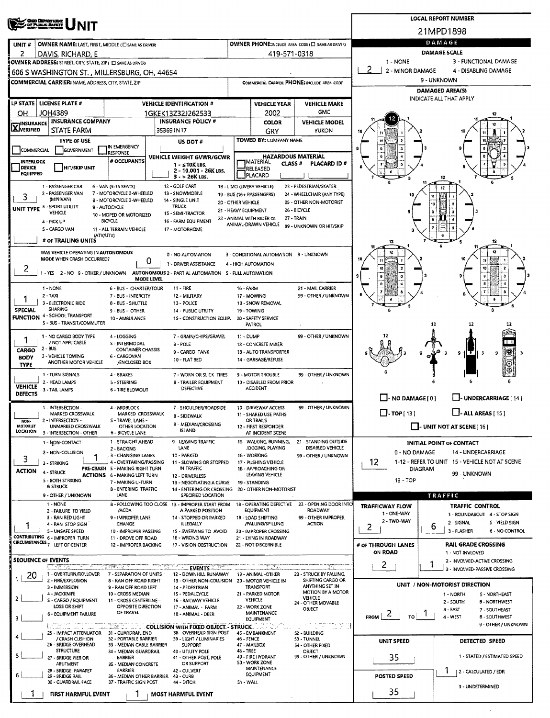| <b>CHIO DEPARTMENT</b><br>DE PUBLIC BAFKIT                                                                                                              | <b>LOCAL REPORT NUMBER</b>                                            |                                                 |                                                      |                                                                       |                                                               |  |  |  |  |  |
|---------------------------------------------------------------------------------------------------------------------------------------------------------|-----------------------------------------------------------------------|-------------------------------------------------|------------------------------------------------------|-----------------------------------------------------------------------|---------------------------------------------------------------|--|--|--|--|--|
|                                                                                                                                                         | 21MPD1898                                                             |                                                 |                                                      |                                                                       |                                                               |  |  |  |  |  |
| OWNER NAME: LAST, FIRST, MIDDLE (C) SAME AS DRIVER)<br>UNIT#                                                                                            |                                                                       |                                                 | OWNER PHONE:INCLUDE AREA CODE (E) SAME AS DRIVER)    | DAMAGE                                                                |                                                               |  |  |  |  |  |
| 2<br>DAVIS, RICHARD, E                                                                                                                                  |                                                                       | 419-571-0318                                    |                                                      | DAMAGE SCALE<br>1 - NONE<br>3 - FUNCTIONAL DAMAGE                     |                                                               |  |  |  |  |  |
| OWNER ADDRESS: STREET, CITY, STATE, ZIP ( I SAME AS DRIVER)<br>606 S WASHINGTON ST., MILLERSBURG, OH, 44654                                             |                                                                       |                                                 |                                                      | -2<br>2 - MINOR DAMAGE                                                | 4 - DISABLING DAMAGE                                          |  |  |  |  |  |
| COMMERCIAL CARRIER: NAME, ADDRESS, CITY, STATE, ZIP                                                                                                     | COMMERCIAL CARRIER PHONE: INCLUDE AREA CODE                           |                                                 |                                                      | 9 - UNKNOWN                                                           |                                                               |  |  |  |  |  |
|                                                                                                                                                         |                                                                       |                                                 |                                                      | <b>DAMAGED AREA(S)</b>                                                |                                                               |  |  |  |  |  |
| LP STATE   LICENSE PLATE #<br><b>VEHICLE IDENTIFICATION #</b>                                                                                           |                                                                       | <b>VEHICLE YEAR</b>                             | <b>VEHICLE MAKE</b>                                  | INDICATE ALL THAT APPLY                                               |                                                               |  |  |  |  |  |
| <b>JOH4389</b><br>OН<br>1GKEK13Z32J262533                                                                                                               |                                                                       | 2002                                            | <b>GMC</b>                                           |                                                                       |                                                               |  |  |  |  |  |
| <b>INSURANCE COMPANY</b><br><b>INSURANCE POLICY #</b><br><b>X</b> INSURANCE                                                                             |                                                                       | <b>COLOR</b>                                    | <b>VEHICLE MODEL</b>                                 |                                                                       |                                                               |  |  |  |  |  |
| <b>STATE FARM</b><br>353691N17                                                                                                                          |                                                                       | GRY                                             | YUKON                                                |                                                                       |                                                               |  |  |  |  |  |
| <b>TYPE OF USE</b><br>US DOT #<br>IN EMERGENCY<br>COMMERCIAL<br><b>GOVERNMENT</b>                                                                       |                                                                       | <b>TOWED BY: COMPANY NAME</b>                   |                                                      |                                                                       |                                                               |  |  |  |  |  |
| <b>RESPONSE</b><br><b>VEHICLE WEIGHT GVWR/GCWR</b><br># OCCUPANTS<br><b>INTERLOCK</b>                                                                   | <b>HAZARDOUS MATERIAL</b><br><b>J</b> MATERIAL<br>CLASS <sup>#</sup>  |                                                 |                                                      |                                                                       |                                                               |  |  |  |  |  |
| $1 - 510K$ LBS.<br><b>DEVICE</b><br><b>HIT/SKIP UNIT</b><br>2 - 10.001 - 26K LBS.<br><b>EQUIPPED</b>                                                    |                                                                       | RELEASED                                        | <b>PLACARD ID#</b>                                   |                                                                       |                                                               |  |  |  |  |  |
| $3 - 26K$ LBS.                                                                                                                                          |                                                                       | PLACARD                                         |                                                      |                                                                       |                                                               |  |  |  |  |  |
| 12 - GOLF CART<br>1 - PASSENGER CAR<br>6 - VAN (9-15 SEATS)<br>2 - PASSENGER VAN<br>7 - MOTORCYCLE 2-WHEELED<br>13 - SNOWMOBILE                         | 1B - LIMO (LIVERY VEHICLE)                                            | 19 - BUS (16+ PASSENGERS)                       | 23 - PEDESTRIAN/SKATER<br>24 - WHEELCHAIR (ANY TYPE) |                                                                       |                                                               |  |  |  |  |  |
| 3<br>(MINIVAN)<br>8 - MOTORCYCLE 3-WHEELED<br>14 - SINGLE UNIT<br>UNIT TYPE 3 - SPORT UTILITY<br><b>TRUCK</b><br>9 - AUTOCYCLE                          | 20 - OTHER VEHICLE                                                    |                                                 | 25 - OTHER NON-MOTORIST                              |                                                                       |                                                               |  |  |  |  |  |
| VEHICLE<br>1S - SEMI-TRACTOR<br>10 - MOPED OR MOTORIZED                                                                                                 | 21 - HEAVY EQUIPMENT                                                  | 22 - ANIMAL WITH RIDER OR                       | 26 - BICYCLE<br>27 - TRAIN                           |                                                                       |                                                               |  |  |  |  |  |
| <b>BICYCLE</b><br>16 - FARM EQUIPMENT<br>4 - PICK UP<br>5 - CARGO VAN<br>11 - ALL TERRAIN VEHICLE<br>17 - MOTORHOME                                     |                                                                       | ANIMAL-DRAWN VEHICLE                            | 99 - UNKNOWN OR HIT/SKIP                             |                                                                       |                                                               |  |  |  |  |  |
| (ATV/UTV)<br># OF TRAILING UNITS                                                                                                                        |                                                                       |                                                 |                                                      |                                                                       |                                                               |  |  |  |  |  |
|                                                                                                                                                         |                                                                       |                                                 |                                                      |                                                                       |                                                               |  |  |  |  |  |
| WAS VEHICLE OPERATING IN AUTONOMOUS<br>0 - NO AUTOMATION<br>MODE WHEN CRASH OCCURRED?<br>U                                                              |                                                                       | 3 - CONDITIONAL AUTOMATION 9 - UNKNOWN          |                                                      |                                                                       |                                                               |  |  |  |  |  |
| 1 - DRIVER ASSISTANCE<br>2<br>- YES 2 - NO 9 - OTHER / UNKNOWN AUTONOMOUS 2 - PARTIAL AUTOMATION S - FULL AUTOMATION                                    |                                                                       | 4 - HIGH AUTOMATION                             |                                                      |                                                                       |                                                               |  |  |  |  |  |
| MODE LEVEL                                                                                                                                              |                                                                       |                                                 |                                                      |                                                                       |                                                               |  |  |  |  |  |
| 1 - NONE<br>6 - BUS - CHARTER/TOUR<br>11 - FIRE<br>2 - TAXI<br>7 - BUS - INTERCITY<br>12 - MILITARY                                                     | 16 - FARM                                                             | 17 - MOWING                                     | 21 - MAIL CARRIER<br>99 - OTHER / UNKNOWN            |                                                                       |                                                               |  |  |  |  |  |
| 3 - ELECTRONIC RIDE<br>8 - BUS - SHUTTLE<br>13 - POLICE                                                                                                 |                                                                       | 1B - SNOW REMOVAL                               |                                                      |                                                                       |                                                               |  |  |  |  |  |
| <b>SPECIAL</b><br>SHARING<br>9 - BUS - OTHER<br>14 - PUBLIC UTILITY<br><b>FUNCTION 4 - SCHOOL TRANSPORT</b>                                             |                                                                       | 19 - TOWING                                     |                                                      |                                                                       |                                                               |  |  |  |  |  |
| 10 - AMBULANCE<br>1S - CONSTRUCTION EQUIP.<br>S - BUS - TRANSIT/COMMUTER                                                                                |                                                                       | 20 - SAFETY SERVICE<br>PATROL                   |                                                      |                                                                       | 12<br>12<br>12                                                |  |  |  |  |  |
| 7 - GRAIN/CHIPS/GRAVEL<br>1 - NO CARGO BODY TYPE<br>4 - LOGGING                                                                                         | 11 - DUMP                                                             |                                                 | 99 - OTHER / UNKNOWN                                 |                                                                       |                                                               |  |  |  |  |  |
| / NOT APPLICABLE<br>S - INTERMODAL<br>8 - POLE<br>2 - BUS<br><b>CONTAINER CHASSIS</b><br>CARGO                                                          |                                                                       | 12 - CONCRETE MIXER                             |                                                      |                                                                       | 88 H                                                          |  |  |  |  |  |
| 9 - CARGO TANK<br>3 - VEHICLE TOWING<br>6 - CARGOVAN<br><b>BODY</b><br>10 - FLAT BED                                                                    |                                                                       | 13 - AUTO TRANSPORTER<br>14 - GARBAGE/REFUSE    |                                                      |                                                                       | 18<br>9<br>$\mathbf{H}$<br>9<br>-3<br>- 3<br>⊕                |  |  |  |  |  |
| ANOTHER MOTOR VEHICLE<br>/ENCLOSED BOX<br><b>TYPE</b>                                                                                                   |                                                                       |                                                 |                                                      |                                                                       |                                                               |  |  |  |  |  |
| 1 - TURN SIGNALS<br>4 - BRAKES<br>7 - WORN OR SLICK TIRES<br>2 - HEAD LAMPS<br>5 - STEERING<br><b>B - TRAILER EQUIPMENT</b>                             | 9 - MOTOR TROUBLE<br>99 - OTHER / UNKNOWN<br>10 - DISABLED FROM PRIOR |                                                 |                                                      |                                                                       |                                                               |  |  |  |  |  |
| <b>VEHICLE</b><br>DEFECTIVE<br>3 - TAIL LAMPS<br>6 - TIRE BLOWOUT<br><b>DEFECTS</b>                                                                     |                                                                       | <b>ACCIDENT</b>                                 |                                                      |                                                                       |                                                               |  |  |  |  |  |
| 1 - INTERSECTION -<br>7 - SHOULDER/ROADSIDE<br>4 - MIDBLOCK -                                                                                           |                                                                       | 10 - DRIVEWAY ACCESS                            | 99 - OTHER / UNKNOWN                                 | $\Box$ - NO DAMAGE [0]                                                | L. UNDERCARRIAGE [14]                                         |  |  |  |  |  |
| MARKED CROSSWALK<br>MARKED CROSSWALK<br>8 - SIDEWALK                                                                                                    |                                                                       | 11 - SHARED USE PATHS                           |                                                      | $\Box$ -TOP $(131)$<br>$\Box$ - ALL AREAS [ 15 ]                      |                                                               |  |  |  |  |  |
| 2 - INTERSECTION -<br>S - TRAVEL LANE -<br>NON-<br>9 - MEDIAN/CROSSING<br>MOTORIST<br>UNMARKED CROSSWALK<br>OTHER LOCATION                              |                                                                       | OR TRAILS<br>12 - FIRST RESPONDER               |                                                      | $\Box$ - UNIT NOT AT SCENE [16]                                       |                                                               |  |  |  |  |  |
| <b>ISLAND</b><br>LOCATION<br>3 - INTERSECTION - OTHER<br>6 - BICYCLE LANE                                                                               |                                                                       | AT INCIDENT SCENE                               |                                                      |                                                                       |                                                               |  |  |  |  |  |
| 9 - LEAVING TRAFFIC<br>1 - STRAIGHT AHEAD<br>1 - NON-CONTACT<br>LANE<br>2 - BACKING                                                                     |                                                                       | 15 - WALKING, RUNNING,<br>JOGGING, PLAYING      | 21 - STANDING OUTSIDE<br>DISABLED VEHICLE            |                                                                       | <b>INITIAL POINT OF CONTACT</b><br>14 - UNDERCARRIAGE         |  |  |  |  |  |
| 2 - NON-COLLISION<br>10 - PARKED<br>3 - CHANGING LANES<br>3<br>4 - OVERTAKING/PASSING<br>11 - SLOWING OR STOPPED<br>3 - STRIKING                        |                                                                       | 16 - WORKING<br>17 - PUSHING VEHICLE            | 99 - OTHER / UNKNOWN                                 | 0 - NO DAMAGE<br>1-12 - REFER TO UNIT 15 - VEHICLE NOT AT SCENE<br>12 |                                                               |  |  |  |  |  |
| PRE-CRASH 5 - MAKING RIGHT TURN<br>IN TRAFFIC<br><b>ACTION</b><br>4 - STRUCK                                                                            |                                                                       | 18 - APPROACHING OR<br>LEAVING VEHICLE          |                                                      | DIAGRAM<br>99 - UNKNOWN                                               |                                                               |  |  |  |  |  |
| <b>ACTIONS 6 - MAKING LEFT TURN</b><br>12 - DRIVERLESS<br>5 - BOTH STRIKING<br>7 - MAKING U-TURN<br>13 - NEGOTIATING A CURVE                            |                                                                       | 13 - TOP<br>19 - STANDING                       |                                                      |                                                                       |                                                               |  |  |  |  |  |
| <b>&amp; STRUCK</b><br>8 - ENTERING TRAFFIC<br>14 - ENTERING OR CROSSING 20 - OTHER NON-MOTORIST<br>9 OTHER / UNKNOWN<br>LANE<br>SPECIFIED LOCATION     |                                                                       |                                                 |                                                      | TRAFFIC                                                               |                                                               |  |  |  |  |  |
| 1 - NONE<br>8 - FOLLOWING TOO CLOSE 13 - IMPROPER START FROM                                                                                            |                                                                       | 18 - OPERATING DEFECTIVE                        | 23 - OPENING DOOR INTO                               | <b>TRAFFICWAY FLOW</b>                                                | <b>TRAFFIC CONTROL</b>                                        |  |  |  |  |  |
| A PARKED POSITION<br>/ACDA<br>2 - FAILURE TO YIELD<br>3 - RAN RED LIGHT<br>9 - IMPROPER LANE<br>14 - STOPPED OR PARKED                                  |                                                                       | <b>EQUIPMENT</b><br>19 - LOAD SHIFTING          | <b>ROADWAY</b><br>99 - OTHER IMPROPER                | 1 - ONE-WAY                                                           | 1 - ROUNDABOUT 4 - STOP SIGN                                  |  |  |  |  |  |
| CHANGE<br>ILLEGALLY<br>4 - RAN STOP SIGN<br>1                                                                                                           |                                                                       | /FALUNG/SPILLING                                | <b>ACTION</b>                                        | 2 - TWO-WAY<br>2                                                      | 2 - SIGNAL<br>S - YIELD SIGN<br>6<br>3 - FLASHER              |  |  |  |  |  |
| 5 - UNSAFE SPEED<br>10 - IMPROPER PASSING<br>1S - SWERVING TO AVOID<br>CONTRIBUTING 6 - IMPROPER TURN<br>11 - DROVE OFF ROAD<br>16 - WRONG WAY          |                                                                       | 20 - IMPROPER CROSSING<br>21 - LYING IN ROADWAY |                                                      |                                                                       | <b>6 - NO CONTROL</b>                                         |  |  |  |  |  |
| CIRCUMSTANCES 7 - LEFT OF CENTER<br>12 - IMPROPER BACKING<br>17 - VISION OBSTRUCTION                                                                    |                                                                       | 22 - NOT DISCERNIBLE                            |                                                      | # of THROUGH LANES<br>ON ROAD                                         | <b>RAIL GRADE CROSSING</b><br>1 - NOT INVLOVED                |  |  |  |  |  |
| <b>SEOUENCE OF EVENTS</b>                                                                                                                               |                                                                       |                                                 |                                                      |                                                                       | 2 - INVOLVED-ACTIVE CROSSING                                  |  |  |  |  |  |
| فكالمناسب<br>$\overline{\mathcal{M}}$ on $\mathcal{L}$<br>- EVENTS -<br>1 - OVERTURN/ROLLOVER<br>7 - SEPARATION OF UNITS<br>12 - DOWNHILL RUNAWAY<br>20 |                                                                       | 19 - ANIMAL -OTHER                              | 23 - STRUCK BY FALLING.                              | $\mathbf{2}$                                                          | 3 - INVOLVED-PASSIVE CROSSING                                 |  |  |  |  |  |
| 2 - FIRE/EXPLOSION<br>8 - RAN OFF ROAD RIGHT<br>13 - OTHER NON-COLLISION<br>3 - IMMERSION                                                               |                                                                       | 20 - MOTOR VEHICLE IN<br><b>TRANSPORT</b>       | SHIFTING CARGO OR<br>ANYTHING SET IN                 |                                                                       | UNIT / NON-MOTORIST DIRECTION                                 |  |  |  |  |  |
| 9 - RAN OFF ROAD LEFT<br>14 - PEDESTRIAN<br>4 - JACKKNIFE<br>10 - CROSS MEDIAN<br>15 - PEDALCYCLE                                                       |                                                                       | 21 - PARKED MOTOR                               | MOTION BY A MOTOR<br>VEHICLE                         |                                                                       | 1 - NORTH<br>5 - NORTHEAST                                    |  |  |  |  |  |
| S - CARGO / EQUIPMENT<br>11 - CROSS CENTERLINE -<br>16 - RAILWAY VEHICLE<br>LOSS OR SHIFT<br>OPPOSITE DIRECTION<br>17 - ANIMAL - FARM                   |                                                                       | VEHICLE<br>22 - WORK ZONE                       | 24 - OTHER MOVABLE<br>OBJECT                         |                                                                       | 2 - SOUTH<br><b>6 - NORTHWEST</b>                             |  |  |  |  |  |
| OF TRAVEL<br>6 - EQUIPMENT FAILURE<br>18 - ANIMAL - DEER<br>з                                                                                           |                                                                       | <b>MAINTENANCE</b><br>EQUIPMENT                 |                                                      | $FROM$ $2$<br>TO                                                      | 3 - EAST<br>7 - SOUTHEAST<br>4 - WEST<br><b>8 - SOUTHWEST</b> |  |  |  |  |  |
| <b>ALCOHOL: COLLISION WITH FIXED OBJECT. - STRUCK.</b> AND WAS                                                                                          |                                                                       |                                                 | waran 1<br><b>Contract</b>                           |                                                                       | 9 - OTHER / UNKNOWN                                           |  |  |  |  |  |
| 25 - IMPACT ATTENUATOR 31 - GUARDRAIL END<br>38 - OVERHEAD SIGN POST<br>/ CRASH CUSHION<br>32 - PORTABLE BARRIER<br>39 - LIGHT / LUMINARIES             | 46 - FENCE                                                            | 45 - EMBANKMENT                                 | 52 - BUILDING<br>53 - TUNNEL                         | <b>UNIT SPEED</b>                                                     | DETECTED SPEED                                                |  |  |  |  |  |
| 26 - BRIDGE OVERHEAD<br>33 - MEDIAN CABLE BARRIER<br><b>SUPPORT</b><br><b>STRUCTURE</b><br>34 - MEDIAN GUARDRAIL<br>40 - UTIUTY POLE                    | 48 - TREE                                                             | 47 - MAILBOX                                    | 54 - OTHER FIXED<br>OBJECT                           |                                                                       |                                                               |  |  |  |  |  |
| 5<br>27 - BRIDGE PIER OR<br>BARRIER<br>41 - OTHER POST, POLE                                                                                            |                                                                       | 49 - FIRE HYDRANT<br>50 - WORK ZONE             | 99 - OTHER / UNKNOWN                                 | 1 - STATED / ESTIMATED SPEED<br>35                                    |                                                               |  |  |  |  |  |
| ABUTMENT<br>OR SUPPORT<br>35 - MEDIAN CONCRETE<br>28 - BRIDGE PARAPET<br>BARRIER<br>42 - CULVERT                                                        |                                                                       | MAINTENANCE<br>EQUIPMENT                        |                                                      | 1<br>12 - CALCULATED / EDR                                            |                                                               |  |  |  |  |  |
| 29 - BRIDGE RAIL<br>36 - MEDIAN OTHER BARRIER 43 - CUR8<br>30 - GUARDRAIL FACE<br>37 - TRAFFIC SIGN POST<br>44 - DITCH                                  | 51 - WALL                                                             |                                                 |                                                      | <b>POSTED SPEED</b>                                                   |                                                               |  |  |  |  |  |
| FIRST HARMFUL EVENT<br><b>MOST HARMFUL EVENT</b>                                                                                                        |                                                                       |                                                 |                                                      | 35                                                                    | 3 - UNDETERMINED                                              |  |  |  |  |  |
|                                                                                                                                                         |                                                                       |                                                 |                                                      |                                                                       |                                                               |  |  |  |  |  |